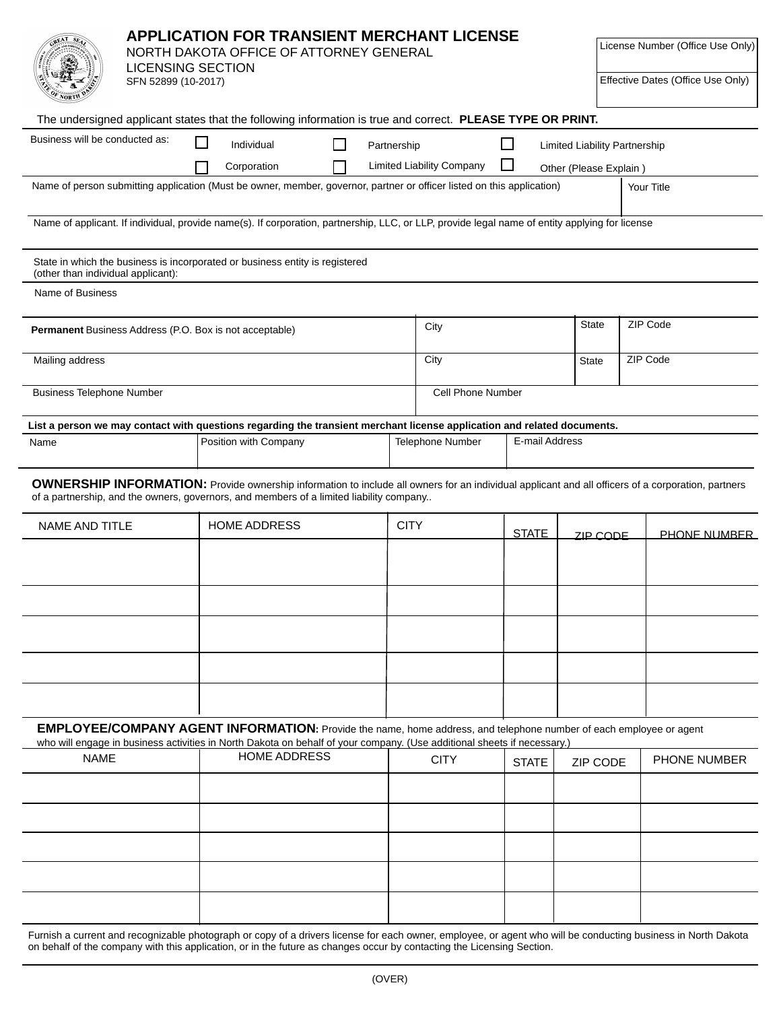| <b>APPLICATION FOR TRANSIENT MERCHANT LICENSE</b><br>NORTH DAKOTA OFFICE OF ATTORNEY GENERAL<br><b>LICENSING SECTION</b><br>SFN 52899 (10-2017) |  |  |                                                                                                                                                                                                                                               |  |  |                                  |                          | License Number (Office Use Only)<br>Effective Dates (Office Use Only) |                |                                      |          |                                                                                                                                                               |
|-------------------------------------------------------------------------------------------------------------------------------------------------|--|--|-----------------------------------------------------------------------------------------------------------------------------------------------------------------------------------------------------------------------------------------------|--|--|----------------------------------|--------------------------|-----------------------------------------------------------------------|----------------|--------------------------------------|----------|---------------------------------------------------------------------------------------------------------------------------------------------------------------|
|                                                                                                                                                 |  |  | The undersigned applicant states that the following information is true and correct. PLEASE TYPE OR PRINT.                                                                                                                                    |  |  |                                  |                          |                                                                       |                |                                      |          |                                                                                                                                                               |
| Business will be conducted as:                                                                                                                  |  |  | Individual                                                                                                                                                                                                                                    |  |  | Partnership                      |                          |                                                                       |                | <b>Limited Liability Partnership</b> |          |                                                                                                                                                               |
| Corporation                                                                                                                                     |  |  |                                                                                                                                                                                                                                               |  |  | <b>Limited Liability Company</b> |                          |                                                                       |                |                                      |          |                                                                                                                                                               |
|                                                                                                                                                 |  |  | Name of person submitting application (Must be owner, member, governor, partner or officer listed on this application)                                                                                                                        |  |  |                                  |                          | Other (Please Explain)<br>Your Title                                  |                |                                      |          |                                                                                                                                                               |
|                                                                                                                                                 |  |  |                                                                                                                                                                                                                                               |  |  |                                  |                          |                                                                       |                |                                      |          |                                                                                                                                                               |
|                                                                                                                                                 |  |  | Name of applicant. If individual, provide name(s). If corporation, partnership, LLC, or LLP, provide legal name of entity applying for license                                                                                                |  |  |                                  |                          |                                                                       |                |                                      |          |                                                                                                                                                               |
| (other than individual applicant):                                                                                                              |  |  | State in which the business is incorporated or business entity is registered                                                                                                                                                                  |  |  |                                  |                          |                                                                       |                |                                      |          |                                                                                                                                                               |
| Name of Business                                                                                                                                |  |  |                                                                                                                                                                                                                                               |  |  |                                  |                          |                                                                       |                |                                      |          |                                                                                                                                                               |
|                                                                                                                                                 |  |  |                                                                                                                                                                                                                                               |  |  |                                  |                          |                                                                       |                | State                                |          |                                                                                                                                                               |
| Permanent Business Address (P.O. Box is not acceptable)                                                                                         |  |  |                                                                                                                                                                                                                                               |  |  |                                  | City                     |                                                                       |                |                                      | ZIP Code |                                                                                                                                                               |
| Mailing address                                                                                                                                 |  |  |                                                                                                                                                                                                                                               |  |  |                                  | City                     | <b>State</b>                                                          |                |                                      | ZIP Code |                                                                                                                                                               |
| <b>Business Telephone Number</b>                                                                                                                |  |  |                                                                                                                                                                                                                                               |  |  |                                  | <b>Cell Phone Number</b> |                                                                       |                |                                      |          |                                                                                                                                                               |
|                                                                                                                                                 |  |  | List a person we may contact with questions regarding the transient merchant license application and related documents.                                                                                                                       |  |  |                                  |                          |                                                                       |                |                                      |          |                                                                                                                                                               |
| Name                                                                                                                                            |  |  | Position with Company                                                                                                                                                                                                                         |  |  |                                  | Telephone Number         |                                                                       | E-mail Address |                                      |          |                                                                                                                                                               |
| NAME AND TITLE                                                                                                                                  |  |  | of a partnership, and the owners, governors, and members of a limited liability company<br><b>HOME ADDRESS</b>                                                                                                                                |  |  | <b>CITY</b>                      |                          | <b>STATE</b>                                                          |                | ZIP CODE                             |          | <b>PHONE NUMBER</b>                                                                                                                                           |
|                                                                                                                                                 |  |  |                                                                                                                                                                                                                                               |  |  |                                  |                          |                                                                       |                |                                      |          |                                                                                                                                                               |
|                                                                                                                                                 |  |  | EMPLOYEE/COMPANY AGENT INFORMATION: Provide the name, home address, and telephone number of each employee or agent<br>who will engage in business activities in North Dakota on behalf of your company. (Use additional sheets if necessary.) |  |  |                                  |                          |                                                                       |                |                                      |          |                                                                                                                                                               |
| <b>NAME</b>                                                                                                                                     |  |  | <b>HOME ADDRESS</b>                                                                                                                                                                                                                           |  |  |                                  | <b>CITY</b>              | <b>STATE</b>                                                          |                | <b>ZIP CODE</b>                      |          | PHONE NUMBER                                                                                                                                                  |
|                                                                                                                                                 |  |  |                                                                                                                                                                                                                                               |  |  |                                  |                          |                                                                       |                |                                      |          |                                                                                                                                                               |
|                                                                                                                                                 |  |  |                                                                                                                                                                                                                                               |  |  |                                  |                          |                                                                       |                |                                      |          | Furnish a current and recognizable photograph or copy of a drivers license for each owner, employee, or agent who will be conducting business in North Dakota |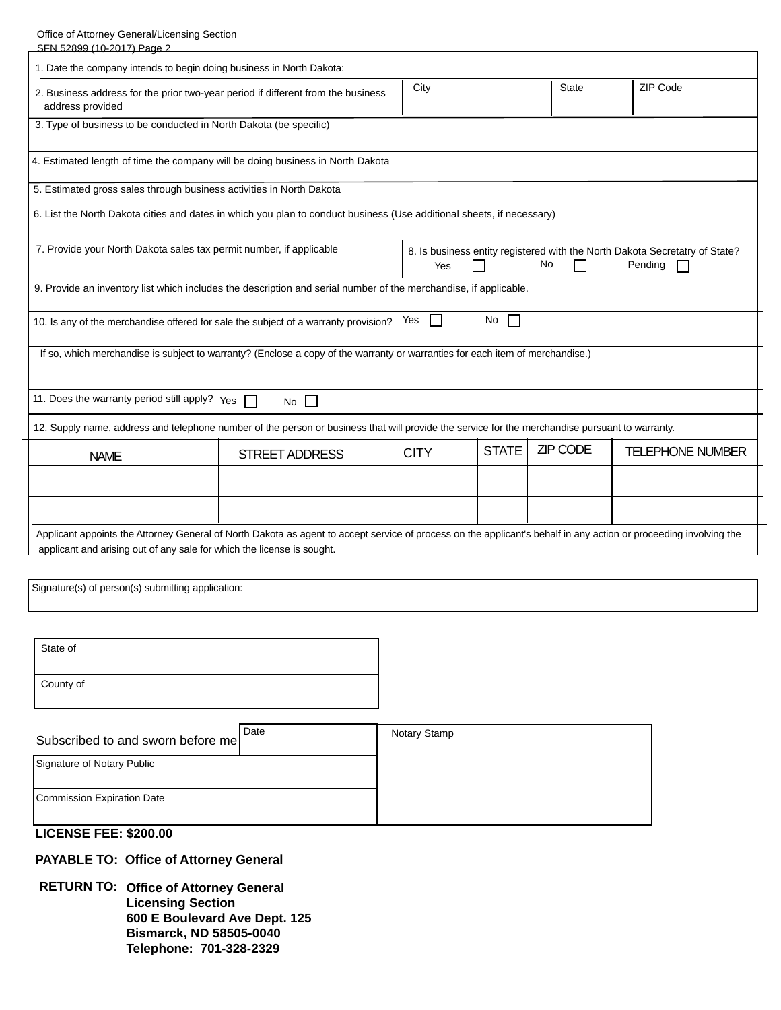Office of Attorney General/Licensing Section

| SFN 52899 (10-2017) Page 2                                                                                                                                                                                                                  |                       |  |             |              |                 |                         |
|---------------------------------------------------------------------------------------------------------------------------------------------------------------------------------------------------------------------------------------------|-----------------------|--|-------------|--------------|-----------------|-------------------------|
| 1. Date the company intends to begin doing business in North Dakota:                                                                                                                                                                        |                       |  |             |              |                 |                         |
| 2. Business address for the prior two-year period if different from the business<br>address provided                                                                                                                                        |                       |  | City        |              | <b>State</b>    | ZIP Code                |
| 3. Type of business to be conducted in North Dakota (be specific)                                                                                                                                                                           |                       |  |             |              |                 |                         |
| 4. Estimated length of time the company will be doing business in North Dakota                                                                                                                                                              |                       |  |             |              |                 |                         |
| 5. Estimated gross sales through business activities in North Dakota                                                                                                                                                                        |                       |  |             |              |                 |                         |
| 6. List the North Dakota cities and dates in which you plan to conduct business (Use additional sheets, if necessary)                                                                                                                       |                       |  |             |              |                 |                         |
| 7. Provide your North Dakota sales tax permit number, if applicable<br>8. Is business entity registered with the North Dakota Secretatry of State?<br>No<br>Pending<br>Yes                                                                  |                       |  |             |              |                 |                         |
| 9. Provide an inventory list which includes the description and serial number of the merchandise, if applicable.                                                                                                                            |                       |  |             |              |                 |                         |
| No<br>10. Is any of the merchandise offered for sale the subject of a warranty provision? Yes<br>$\mathbf{I}$                                                                                                                               |                       |  |             |              |                 |                         |
| If so, which merchandise is subject to warranty? (Enclose a copy of the warranty or warranties for each item of merchandise.)                                                                                                               |                       |  |             |              |                 |                         |
| 11. Does the warranty period still apply? $Y_{ES}$<br>No $\Box$                                                                                                                                                                             |                       |  |             |              |                 |                         |
| 12. Supply name, address and telephone number of the person or business that will provide the service for the merchandise pursuant to warranty.                                                                                             |                       |  |             |              |                 |                         |
| <b>NAME</b>                                                                                                                                                                                                                                 | <b>STREET ADDRESS</b> |  | <b>CITY</b> | <b>STATE</b> | <b>ZIP CODE</b> | <b>TELEPHONE NUMBER</b> |
|                                                                                                                                                                                                                                             |                       |  |             |              |                 |                         |
|                                                                                                                                                                                                                                             |                       |  |             |              |                 |                         |
| Applicant appoints the Attorney General of North Dakota as agent to accept service of process on the applicant's behalf in any action or proceeding involving the<br>applicant and arising out of any sale for which the license is sought. |                       |  |             |              |                 |                         |

Signature(s) of person(s) submitting application:

| State of  |  |
|-----------|--|
| County of |  |

| Subscribed to and sworn before me | Date | Notary Stamp |
|-----------------------------------|------|--------------|
| Signature of Notary Public        |      |              |
| Commission Expiration Date        |      |              |

## **LICENSE FEE: \$200.00**

**PAYABLE TO: Office of Attorney General** 

**RETURN TO: Office of Attorney General Licensing Section** 600 E Boulevard Ave Dept. 125 **Bismarck, ND 58505-0040** Telephone: 701-328-2329